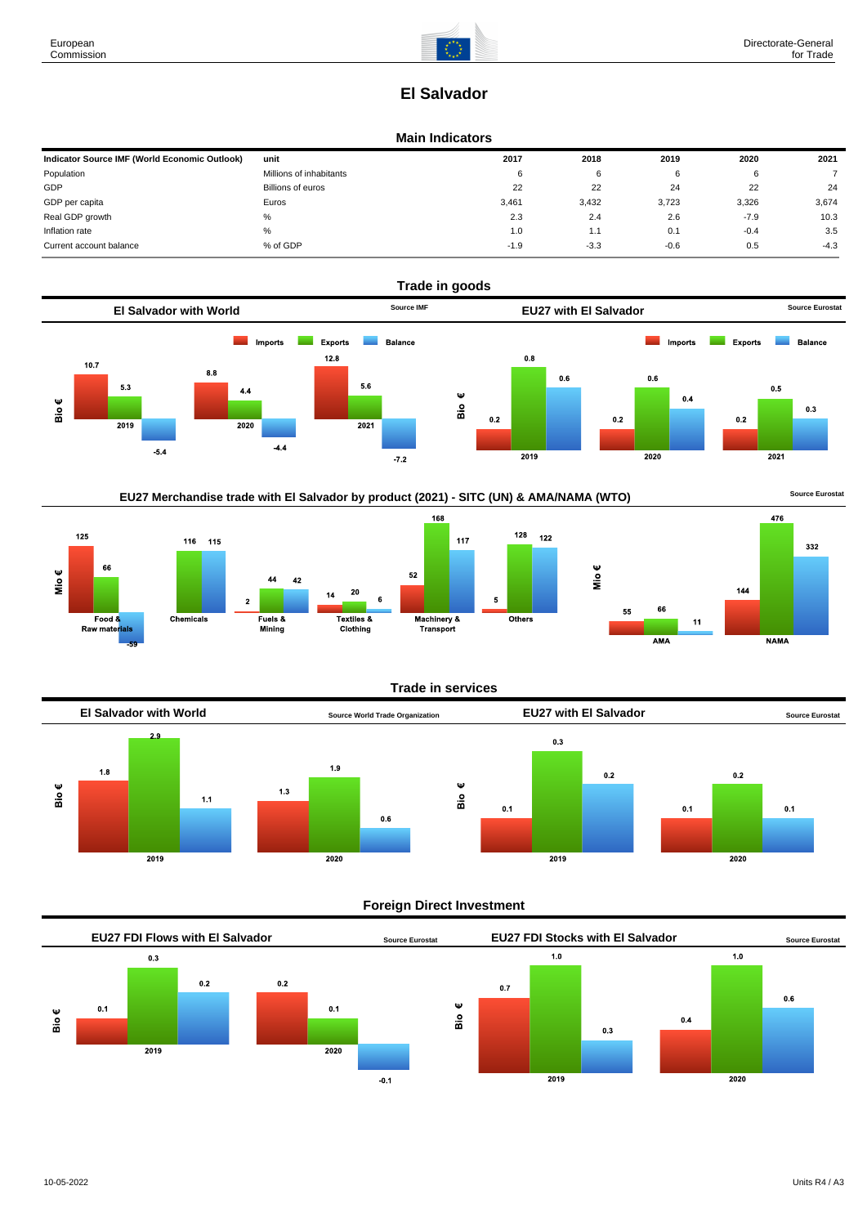# **El Salvador**

## **Main Indicators**

| Indicator Source IMF (World Economic Outlook) | unit                    | 2017   | 2018   | 2019   | 2020   | 2021   |
|-----------------------------------------------|-------------------------|--------|--------|--------|--------|--------|
| Population                                    | Millions of inhabitants | 6      | 6      |        |        |        |
| GDP                                           | Billions of euros       | 22     | 22     | 24     | 22     | 24     |
| GDP per capita                                | Euros                   | 3,461  | 3,432  | 3,723  | 3,326  | 3,674  |
| Real GDP growth                               | %                       | 2.3    | 2.4    | 2.6    | $-7.9$ | 10.3   |
| Inflation rate                                | $\%$                    | 1.0    | 1.1    | 0.1    | $-0.4$ | 3.5    |
| Current account balance                       | % of GDP                | $-1.9$ | $-3.3$ | $-0.6$ | 0.5    | $-4.3$ |









## **Trade in services**



## **Foreign Direct Investment**